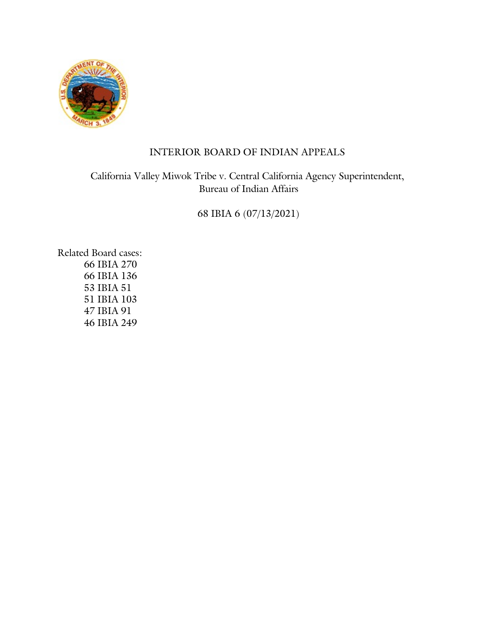

# INTERIOR BOARD OF INDIAN APPEALS

California Valley Miwok Tribe v. Central California Agency Superintendent, Bureau of Indian Affairs

68 IBIA 6 (07/13/2021)

Related Board cases: 66 IBIA 270 66 IBIA 136 53 IBIA 51 51 IBIA 103 47 IBIA 91 46 IBIA 249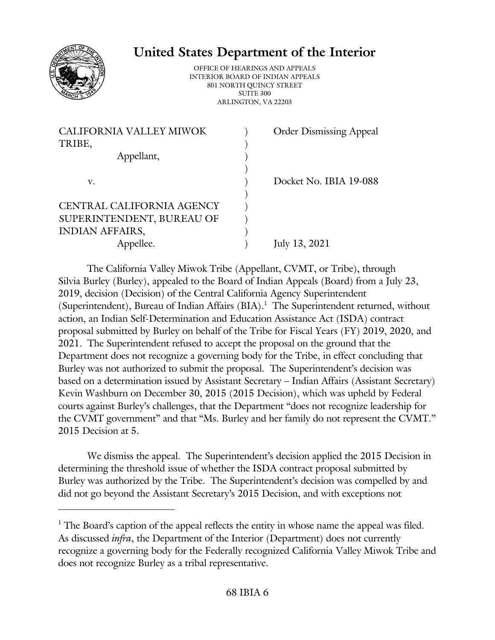

# **United States Department of the Interior**

OFFICE OF HEARINGS AND APPEALS INTERIOR BOARD OF INDIAN APPEALS 801 NORTH QUINCY STREET SUITE 300 ARLINGTON, VA 22203

| <b>CALIFORNIA VALLEY MIWOK</b> | <b>Order Dismissing Appeal</b> |
|--------------------------------|--------------------------------|
| TRIBE,                         |                                |
| Appellant,                     |                                |
|                                |                                |
| v.                             | Docket No. IBIA 19-088         |
|                                |                                |
| CENTRAL CALIFORNIA AGENCY      |                                |
| SUPERINTENDENT, BUREAU OF      |                                |
| <b>INDIAN AFFAIRS,</b>         |                                |
| Appellee.                      | July 13, 2021                  |
|                                |                                |

The California Valley Miwok Tribe (Appellant, CVMT, or Tribe), through Silvia Burley (Burley), appealed to the Board of Indian Appeals (Board) from a July 23, 2019, decision (Decision) of the Central California Agency Superintendent (Superintendent), Bureau of Indian Affairs (BIA). 1 The Superintendent returned, without action, an Indian Self-Determination and Education Assistance Act (ISDA) contract proposal submitted by Burley on behalf of the Tribe for Fiscal Years (FY) 2019, 2020, and 2021. The Superintendent refused to accept the proposal on the ground that the Department does not recognize a governing body for the Tribe, in effect concluding that Burley was not authorized to submit the proposal. The Superintendent's decision was based on a determination issued by Assistant Secretary – Indian Affairs (Assistant Secretary) Kevin Washburn on December 30, 2015 (2015 Decision), which was upheld by Federal courts against Burley's challenges, that the Department "does not recognize leadership for the CVMT government" and that "Ms. Burley and her family do not represent the CVMT." 2015 Decision at 5.

We dismiss the appeal. The Superintendent's decision applied the 2015 Decision in determining the threshold issue of whether the ISDA contract proposal submitted by Burley was authorized by the Tribe. The Superintendent's decision was compelled by and did not go beyond the Assistant Secretary's 2015 Decision, and with exceptions not

 $<sup>1</sup>$  The Board's caption of the appeal reflects the entity in whose name the appeal was filed.</sup> As discussed *infra*, the Department of the Interior (Department) does not currently recognize a governing body for the Federally recognized California Valley Miwok Tribe and does not recognize Burley as a tribal representative.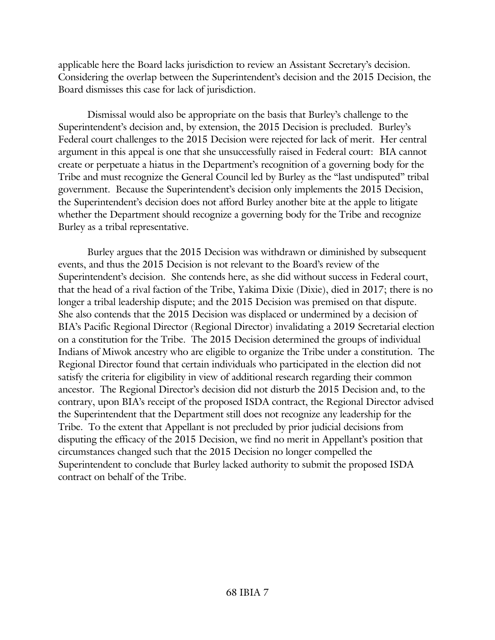applicable here the Board lacks jurisdiction to review an Assistant Secretary's decision. Considering the overlap between the Superintendent's decision and the 2015 Decision, the Board dismisses this case for lack of jurisdiction.

Dismissal would also be appropriate on the basis that Burley's challenge to the Superintendent's decision and, by extension, the 2015 Decision is precluded. Burley's Federal court challenges to the 2015 Decision were rejected for lack of merit. Her central argument in this appeal is one that she unsuccessfully raised in Federal court: BIA cannot create or perpetuate a hiatus in the Department's recognition of a governing body for the Tribe and must recognize the General Council led by Burley as the "last undisputed" tribal government. Because the Superintendent's decision only implements the 2015 Decision, the Superintendent's decision does not afford Burley another bite at the apple to litigate whether the Department should recognize a governing body for the Tribe and recognize Burley as a tribal representative.

Burley argues that the 2015 Decision was withdrawn or diminished by subsequent events, and thus the 2015 Decision is not relevant to the Board's review of the Superintendent's decision. She contends here, as she did without success in Federal court, that the head of a rival faction of the Tribe, Yakima Dixie (Dixie), died in 2017; there is no longer a tribal leadership dispute; and the 2015 Decision was premised on that dispute. She also contends that the 2015 Decision was displaced or undermined by a decision of BIA's Pacific Regional Director (Regional Director) invalidating a 2019 Secretarial election on a constitution for the Tribe. The 2015 Decision determined the groups of individual Indians of Miwok ancestry who are eligible to organize the Tribe under a constitution. The Regional Director found that certain individuals who participated in the election did not satisfy the criteria for eligibility in view of additional research regarding their common ancestor. The Regional Director's decision did not disturb the 2015 Decision and, to the contrary, upon BIA's receipt of the proposed ISDA contract, the Regional Director advised the Superintendent that the Department still does not recognize any leadership for the Tribe. To the extent that Appellant is not precluded by prior judicial decisions from disputing the efficacy of the 2015 Decision, we find no merit in Appellant's position that circumstances changed such that the 2015 Decision no longer compelled the Superintendent to conclude that Burley lacked authority to submit the proposed ISDA contract on behalf of the Tribe.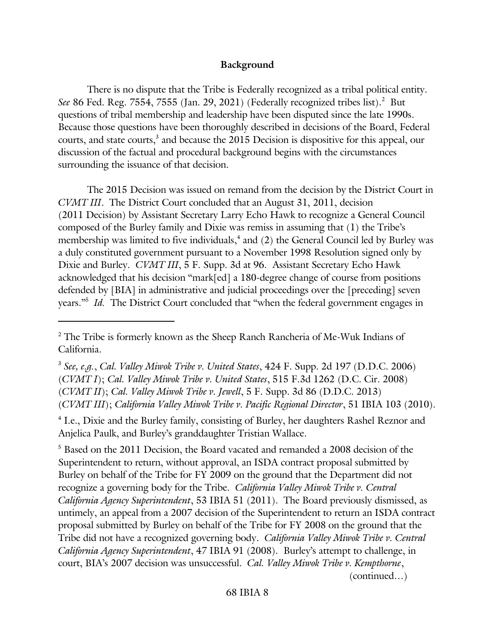#### **Background**

There is no dispute that the Tribe is Federally recognized as a tribal political entity. See 86 Fed. Reg. 7554, 7555 (Jan. 29, 2021) (Federally recognized tribes list).<sup>2</sup> But questions of tribal membership and leadership have been disputed since the late 1990s. Because those questions have been thoroughly described in decisions of the Board, Federal courts, and state courts, 3 and because the 2015 Decision is dispositive for this appeal, our discussion of the factual and procedural background begins with the circumstances surrounding the issuance of that decision.

The 2015 Decision was issued on remand from the decision by the District Court in *CVMT III*. The District Court concluded that an August 31, 2011, decision (2011 Decision) by Assistant Secretary Larry Echo Hawk to recognize a General Council composed of the Burley family and Dixie was remiss in assuming that (1) the Tribe's membership was limited to five individuals,<sup>4</sup> and (2) the General Council led by Burley was a duly constituted government pursuant to a November 1998 Resolution signed only by Dixie and Burley. *CVMT III*, 5 F. Supp. 3d at 96. Assistant Secretary Echo Hawk acknowledged that his decision "mark[ed] a 180-degree change of course from positions defended by [BIA] in administrative and judicial proceedings over the [preceding] seven years.<sup>35</sup> *Id*. The District Court concluded that "when the federal government engages in

<sup>5</sup> Based on the 2011 Decision, the Board vacated and remanded a 2008 decision of the Superintendent to return, without approval, an ISDA contract proposal submitted by Burley on behalf of the Tribe for FY 2009 on the ground that the Department did not recognize a governing body for the Tribe. *California Valley Miwok Tribe v. Central California Agency Superintendent*, 53 IBIA 51 (2011). The Board previously dismissed, as untimely, an appeal from a 2007 decision of the Superintendent to return an ISDA contract proposal submitted by Burley on behalf of the Tribe for FY 2008 on the ground that the Tribe did not have a recognized governing body. *California Valley Miwok Tribe v. Central California Agency Superintendent*, 47 IBIA 91 (2008). Burley's attempt to challenge, in court, BIA's 2007 decision was unsuccessful. *Cal. Valley Miwok Tribe v. Kempthorne*, (continued…)

<sup>&</sup>lt;sup>2</sup> The Tribe is formerly known as the Sheep Ranch Rancheria of Me-Wuk Indians of California.

<sup>3</sup> *See, e.g.*, *Cal. Valley Miwok Tribe v. United States*, 424 F. Supp. 2d 197 (D.D.C. 2006) (*CVMT I*); *Cal. Valley Miwok Tribe v. United States*, 515 F.3d 1262 (D.C. Cir. 2008) (*CVMT II*); *Cal. Valley Miwok Tribe v. Jewell*, 5 F. Supp. 3d 86 (D.D.C. 2013) (*CVMT III*); *California Valley Miwok Tribe v. Pacific Regional Director*, 51 IBIA 103 (2010).

<sup>&</sup>lt;sup>4</sup> I.e., Dixie and the Burley family, consisting of Burley, her daughters Rashel Reznor and Anjelica Paulk, and Burley's granddaughter Tristian Wallace.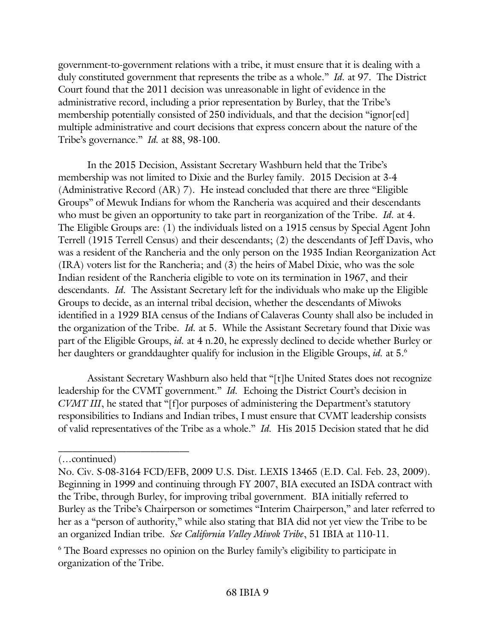government-to-government relations with a tribe, it must ensure that it is dealing with a duly constituted government that represents the tribe as a whole." *Id.* at 97. The District Court found that the 2011 decision was unreasonable in light of evidence in the administrative record, including a prior representation by Burley, that the Tribe's membership potentially consisted of 250 individuals, and that the decision "ignor[ed] multiple administrative and court decisions that express concern about the nature of the Tribe's governance." *Id.* at 88, 98-100.

In the 2015 Decision, Assistant Secretary Washburn held that the Tribe's membership was not limited to Dixie and the Burley family. 2015 Decision at 3-4 (Administrative Record (AR) 7). He instead concluded that there are three "Eligible Groups" of Mewuk Indians for whom the Rancheria was acquired and their descendants who must be given an opportunity to take part in reorganization of the Tribe. *Id.* at 4. The Eligible Groups are: (1) the individuals listed on a 1915 census by Special Agent John Terrell (1915 Terrell Census) and their descendants; (2) the descendants of Jeff Davis, who was a resident of the Rancheria and the only person on the 1935 Indian Reorganization Act (IRA) voters list for the Rancheria; and (3) the heirs of Mabel Dixie, who was the sole Indian resident of the Rancheria eligible to vote on its termination in 1967, and their descendants. *Id.* The Assistant Secretary left for the individuals who make up the Eligible Groups to decide, as an internal tribal decision, whether the descendants of Miwoks identified in a 1929 BIA census of the Indians of Calaveras County shall also be included in the organization of the Tribe. *Id.* at 5. While the Assistant Secretary found that Dixie was part of the Eligible Groups, *id.* at 4 n.20, he expressly declined to decide whether Burley or her daughters or granddaughter qualify for inclusion in the Eligible Groups, *id*. at 5.<sup>6</sup>

Assistant Secretary Washburn also held that "[t]he United States does not recognize leadership for the CVMT government." *Id.* Echoing the District Court's decision in *CVMT III*, he stated that "[f]or purposes of administering the Department's statutory responsibilities to Indians and Indian tribes, I must ensure that CVMT leadership consists of valid representatives of the Tribe as a whole." *Id.* His 2015 Decision stated that he did

 $\mathcal{L}_\text{max}$ 

<sup>(…</sup>continued)

No. Civ. S-08-3164 FCD/EFB, 2009 U.S. Dist. LEXIS 13465 (E.D. Cal. Feb. 23, 2009). Beginning in 1999 and continuing through FY 2007, BIA executed an ISDA contract with the Tribe, through Burley, for improving tribal government. BIA initially referred to Burley as the Tribe's Chairperson or sometimes "Interim Chairperson," and later referred to her as a "person of authority," while also stating that BIA did not yet view the Tribe to be an organized Indian tribe. *See California Valley Miwok Tribe*, 51 IBIA at 110-11.

<sup>&</sup>lt;sup>6</sup> The Board expresses no opinion on the Burley family's eligibility to participate in organization of the Tribe.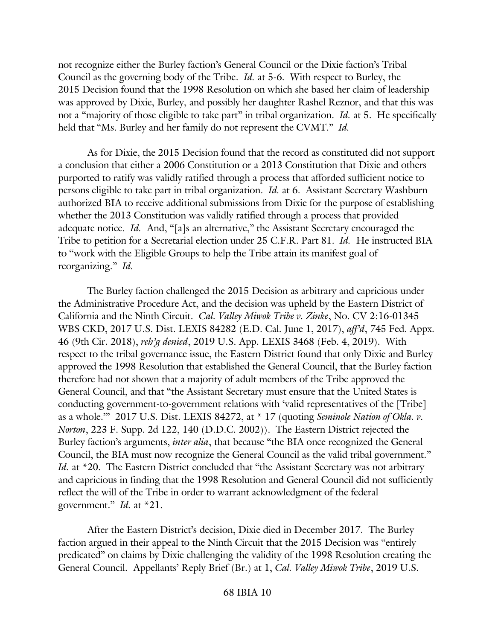not recognize either the Burley faction's General Council or the Dixie faction's Tribal Council as the governing body of the Tribe. *Id.* at 5-6. With respect to Burley, the 2015 Decision found that the 1998 Resolution on which she based her claim of leadership was approved by Dixie, Burley, and possibly her daughter Rashel Reznor, and that this was not a "majority of those eligible to take part" in tribal organization. *Id.* at 5. He specifically held that "Ms. Burley and her family do not represent the CVMT." *Id.* 

As for Dixie, the 2015 Decision found that the record as constituted did not support a conclusion that either a 2006 Constitution or a 2013 Constitution that Dixie and others purported to ratify was validly ratified through a process that afforded sufficient notice to persons eligible to take part in tribal organization. *Id.* at 6. Assistant Secretary Washburn authorized BIA to receive additional submissions from Dixie for the purpose of establishing whether the 2013 Constitution was validly ratified through a process that provided adequate notice. *Id.* And, "[a]s an alternative," the Assistant Secretary encouraged the Tribe to petition for a Secretarial election under 25 C.F.R. Part 81. *Id.* He instructed BIA to "work with the Eligible Groups to help the Tribe attain its manifest goal of reorganizing." *Id.*

The Burley faction challenged the 2015 Decision as arbitrary and capricious under the Administrative Procedure Act, and the decision was upheld by the Eastern District of California and the Ninth Circuit. *Cal. Valley Miwok Tribe v. Zinke*, No. CV 2:16-01345 WBS CKD, 2017 U.S. Dist. LEXIS 84282 (E.D. Cal. June 1, 2017), *aff'd*, 745 Fed. Appx. 46 (9th Cir. 2018), *reh'g denied*, 2019 U.S. App. LEXIS 3468 (Feb. 4, 2019). With respect to the tribal governance issue, the Eastern District found that only Dixie and Burley approved the 1998 Resolution that established the General Council, that the Burley faction therefore had not shown that a majority of adult members of the Tribe approved the General Council, and that "the Assistant Secretary must ensure that the United States is conducting government-to-government relations with 'valid representatives of the [Tribe] as a whole.'" 2017 U.S. Dist. LEXIS 84272, at \* 17 (quoting *Seminole Nation of Okla. v. Norton*, 223 F. Supp. 2d 122, 140 (D.D.C. 2002)). The Eastern District rejected the Burley faction's arguments, *inter alia*, that because "the BIA once recognized the General Council, the BIA must now recognize the General Council as the valid tribal government." *Id.* at \*20. The Eastern District concluded that "the Assistant Secretary was not arbitrary and capricious in finding that the 1998 Resolution and General Council did not sufficiently reflect the will of the Tribe in order to warrant acknowledgment of the federal government." *Id.* at \*21.

After the Eastern District's decision, Dixie died in December 2017. The Burley faction argued in their appeal to the Ninth Circuit that the 2015 Decision was "entirely predicated" on claims by Dixie challenging the validity of the 1998 Resolution creating the General Council. Appellants' Reply Brief (Br.) at 1, *Cal. Valley Miwok Tribe*, 2019 U.S.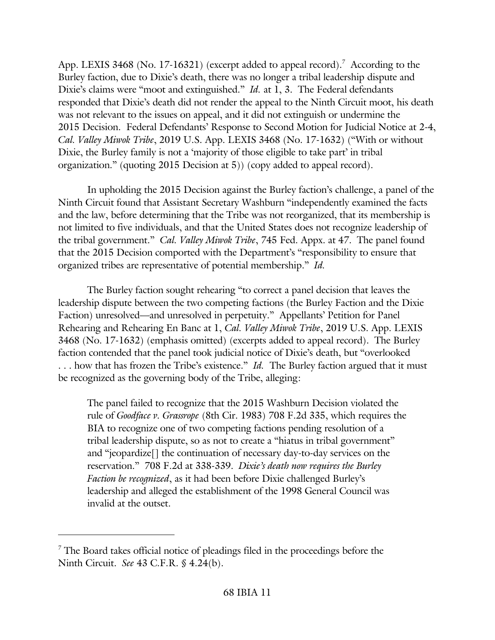App. LEXIS 3468 (No. 17-16321) (excerpt added to appeal record).<sup>7</sup> According to the Burley faction, due to Dixie's death, there was no longer a tribal leadership dispute and Dixie's claims were "moot and extinguished." *Id.* at 1, 3. The Federal defendants responded that Dixie's death did not render the appeal to the Ninth Circuit moot, his death was not relevant to the issues on appeal, and it did not extinguish or undermine the 2015 Decision. Federal Defendants' Response to Second Motion for Judicial Notice at 2-4, *Cal. Valley Miwok Tribe*, 2019 U.S. App. LEXIS 3468 (No. 17-1632) ("With or without Dixie, the Burley family is not a 'majority of those eligible to take part' in tribal organization." (quoting 2015 Decision at 5)) (copy added to appeal record).

In upholding the 2015 Decision against the Burley faction's challenge, a panel of the Ninth Circuit found that Assistant Secretary Washburn "independently examined the facts and the law, before determining that the Tribe was not reorganized, that its membership is not limited to five individuals, and that the United States does not recognize leadership of the tribal government." *Cal. Valley Miwok Tribe*, 745 Fed. Appx. at 47. The panel found that the 2015 Decision comported with the Department's "responsibility to ensure that organized tribes are representative of potential membership." *Id.*

The Burley faction sought rehearing "to correct a panel decision that leaves the leadership dispute between the two competing factions (the Burley Faction and the Dixie Faction) unresolved—and unresolved in perpetuity." Appellants' Petition for Panel Rehearing and Rehearing En Banc at 1, *Cal. Valley Miwok Tribe*, 2019 U.S. App. LEXIS 3468 (No. 17-1632) (emphasis omitted) (excerpts added to appeal record). The Burley faction contended that the panel took judicial notice of Dixie's death, but "overlooked . . . how that has frozen the Tribe's existence." *Id.* The Burley faction argued that it must be recognized as the governing body of the Tribe, alleging:

The panel failed to recognize that the 2015 Washburn Decision violated the rule of *Goodface v. Grassrope* (8th Cir. 1983) 708 F.2d 335, which requires the BIA to recognize one of two competing factions pending resolution of a tribal leadership dispute, so as not to create a "hiatus in tribal government" and "jeopardize[] the continuation of necessary day-to-day services on the reservation." 708 F.2d at 338-339. *Dixie's death now requires the Burley Faction be recognized*, as it had been before Dixie challenged Burley's leadership and alleged the establishment of the 1998 General Council was invalid at the outset.

 $7$  The Board takes official notice of pleadings filed in the proceedings before the Ninth Circuit. *See* 43 C.F.R. § 4.24(b).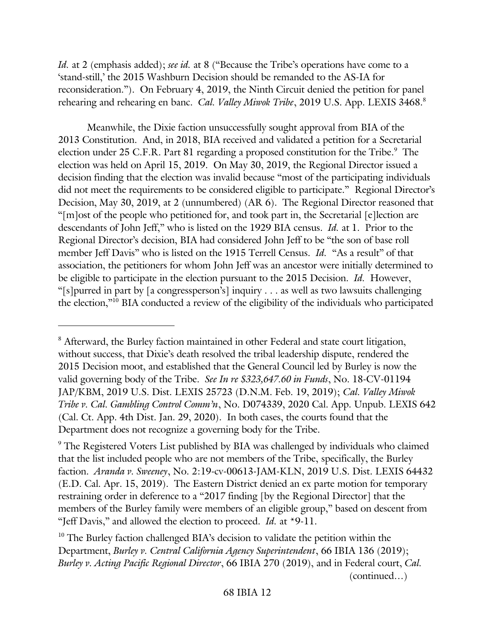*Id.* at 2 (emphasis added); *see id.* at 8 ("Because the Tribe's operations have come to a 'stand-still,' the 2015 Washburn Decision should be remanded to the AS-IA for reconsideration."). On February 4, 2019, the Ninth Circuit denied the petition for panel rehearing and rehearing en banc. *Cal. Valley Miwok Tribe*, 2019 U.S. App. LEXIS 3468. 8

Meanwhile, the Dixie faction unsuccessfully sought approval from BIA of the 2013 Constitution. And, in 2018, BIA received and validated a petition for a Secretarial election under 25 C.F.R. Part 81 regarding a proposed constitution for the Tribe.<sup>9</sup> The election was held on April 15, 2019. On May 30, 2019, the Regional Director issued a decision finding that the election was invalid because "most of the participating individuals did not meet the requirements to be considered eligible to participate." Regional Director's Decision, May 30, 2019, at 2 (unnumbered) (AR 6). The Regional Director reasoned that "[m]ost of the people who petitioned for, and took part in, the Secretarial [e]lection are descendants of John Jeff," who is listed on the 1929 BIA census. *Id.* at 1. Prior to the Regional Director's decision, BIA had considered John Jeff to be "the son of base roll member Jeff Davis" who is listed on the 1915 Terrell Census. *Id.* "As a result" of that association, the petitioners for whom John Jeff was an ancestor were initially determined to be eligible to participate in the election pursuant to the 2015 Decision. *Id.* However, "[s]purred in part by [a congressperson's] inquiry . . . as well as two lawsuits challenging the election,"<sup>10</sup> BIA conducted a review of the eligibility of the individuals who participated

<sup>&</sup>lt;sup>8</sup> Afterward, the Burley faction maintained in other Federal and state court litigation, without success, that Dixie's death resolved the tribal leadership dispute, rendered the 2015 Decision moot, and established that the General Council led by Burley is now the valid governing body of the Tribe. *See In re \$323,647.60 in Funds*, No. 18-CV-01194 JAP/KBM, 2019 U.S. Dist. LEXIS 25723 (D.N.M. Feb. 19, 2019); *Cal. Valley Miwok Tribe v. Cal. Gambling Control Comm'n*, No. D074339, 2020 Cal. App. Unpub. LEXIS 642 (Cal. Ct. App. 4th Dist. Jan. 29, 2020). In both cases, the courts found that the Department does not recognize a governing body for the Tribe.

<sup>&</sup>lt;sup>9</sup> The Registered Voters List published by BIA was challenged by individuals who claimed that the list included people who are not members of the Tribe, specifically, the Burley faction. *Aranda v. Sweeney*, No. 2:19-cv-00613-JAM-KLN, 2019 U.S. Dist. LEXIS 64432 (E.D. Cal. Apr. 15, 2019). The Eastern District denied an ex parte motion for temporary restraining order in deference to a "2017 finding [by the Regional Director] that the members of the Burley family were members of an eligible group," based on descent from "Jeff Davis," and allowed the election to proceed. *Id.* at \*9-11.

<sup>&</sup>lt;sup>10</sup> The Burley faction challenged BIA's decision to validate the petition within the Department, *Burley v. Central California Agency Superintendent*, 66 IBIA 136 (2019); *Burley v. Acting Pacific Regional Director*, 66 IBIA 270 (2019), and in Federal court, *Cal.* (continued…)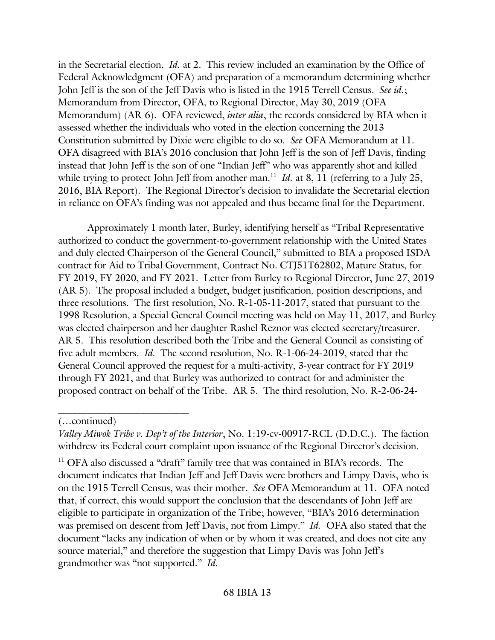in the Secretarial election. *Id.* at 2. This review included an examination by the Office of Federal Acknowledgment (OFA) and preparation of a memorandum determining whether John Jeff is the son of the Jeff Davis who is listed in the 1915 Terrell Census. *See id.*; Memorandum from Director, OFA, to Regional Director, May 30, 2019 (OFA Memorandum) (AR 6). OFA reviewed, *inter alia*, the records considered by BIA when it assessed whether the individuals who voted in the election concerning the 2013 Constitution submitted by Dixie were eligible to do so. *See* OFA Memorandum at 11. OFA disagreed with BIA's 2016 conclusion that John Jeff is the son of Jeff Davis, finding instead that John Jeff is the son of one "Indian Jeff" who was apparently shot and killed while trying to protect John Jeff from another man.<sup>11</sup> *Id.* at 8, 11 (referring to a July 25, 2016, BIA Report). The Regional Director's decision to invalidate the Secretarial election in reliance on OFA's finding was not appealed and thus became final for the Department.

Approximately 1 month later, Burley, identifying herself as "Tribal Representative authorized to conduct the government-to-government relationship with the United States and duly elected Chairperson of the General Council," submitted to BIA a proposed ISDA contract for Aid to Tribal Government, Contract No. CTJ51T62802, Mature Status, for FY 2019, FY 2020, and FY 2021. Letter from Burley to Regional Director, June 27, 2019 (AR 5). The proposal included a budget, budget justification, position descriptions, and three resolutions. The first resolution, No. R-1-05-11-2017, stated that pursuant to the 1998 Resolution, a Special General Council meeting was held on May 11, 2017, and Burley was elected chairperson and her daughter Rashel Reznor was elected secretary/treasurer. AR 5. This resolution described both the Tribe and the General Council as consisting of five adult members. *Id.* The second resolution, No. R-1-06-24-2019, stated that the General Council approved the request for a multi-activity, 3-year contract for FY 2019 through FY 2021, and that Burley was authorized to contract for and administer the proposed contract on behalf of the Tribe. AR 5. The third resolution, No. R-2-06-24-

 $\mathcal{L}=\mathcal{L}=\mathcal{L}=\mathcal{L}=\mathcal{L}=\mathcal{L}=\mathcal{L}=\mathcal{L}=\mathcal{L}=\mathcal{L}=\mathcal{L}=\mathcal{L}=\mathcal{L}=\mathcal{L}=\mathcal{L}=\mathcal{L}=\mathcal{L}=\mathcal{L}=\mathcal{L}=\mathcal{L}=\mathcal{L}=\mathcal{L}=\mathcal{L}=\mathcal{L}=\mathcal{L}=\mathcal{L}=\mathcal{L}=\mathcal{L}=\mathcal{L}=\mathcal{L}=\mathcal{L}=\mathcal{L}=\mathcal{L}=\mathcal{L}=\mathcal{L}=\mathcal{L}=\mathcal{$ 

<sup>11</sup> OFA also discussed a "draft" family tree that was contained in BIA's records. The document indicates that Indian Jeff and Jeff Davis were brothers and Limpy Davis, who is on the 1915 Terrell Census, was their mother. *See* OFA Memorandum at 11. OFA noted that, if correct, this would support the conclusion that the descendants of John Jeff are eligible to participate in organization of the Tribe; however, "BIA's 2016 determination was premised on descent from Jeff Davis, not from Limpy." *Id.* OFA also stated that the document "lacks any indication of when or by whom it was created, and does not cite any source material," and therefore the suggestion that Limpy Davis was John Jeff's grandmother was "not supported." *Id.*

<sup>(…</sup>continued)

*Valley Miwok Tribe v. Dep't of the Interior*, No. 1:19-cv-00917-RCL (D.D.C.). The faction withdrew its Federal court complaint upon issuance of the Regional Director's decision.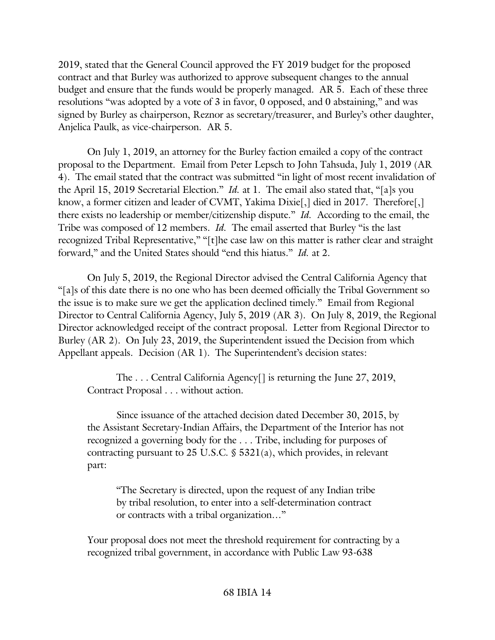2019, stated that the General Council approved the FY 2019 budget for the proposed contract and that Burley was authorized to approve subsequent changes to the annual budget and ensure that the funds would be properly managed. AR 5. Each of these three resolutions "was adopted by a vote of 3 in favor, 0 opposed, and 0 abstaining," and was signed by Burley as chairperson, Reznor as secretary/treasurer, and Burley's other daughter, Anjelica Paulk, as vice-chairperson. AR 5.

On July 1, 2019, an attorney for the Burley faction emailed a copy of the contract proposal to the Department. Email from Peter Lepsch to John Tahsuda, July 1, 2019 (AR 4). The email stated that the contract was submitted "in light of most recent invalidation of the April 15, 2019 Secretarial Election." *Id.* at 1. The email also stated that, "[a]s you know, a former citizen and leader of CVMT, Yakima Dixie<sup>[1]</sup>, died in 2017. Therefore<sup>[1]</sup> there exists no leadership or member/citizenship dispute." *Id.* According to the email, the Tribe was composed of 12 members. *Id.* The email asserted that Burley "is the last recognized Tribal Representative," "[t]he case law on this matter is rather clear and straight forward," and the United States should "end this hiatus." *Id.* at 2.

On July 5, 2019, the Regional Director advised the Central California Agency that "[a]s of this date there is no one who has been deemed officially the Tribal Government so the issue is to make sure we get the application declined timely." Email from Regional Director to Central California Agency, July 5, 2019 (AR 3). On July 8, 2019, the Regional Director acknowledged receipt of the contract proposal. Letter from Regional Director to Burley (AR 2). On July 23, 2019, the Superintendent issued the Decision from which Appellant appeals. Decision (AR 1). The Superintendent's decision states:

The . . . Central California Agency[] is returning the June 27, 2019, Contract Proposal . . . without action.

Since issuance of the attached decision dated December 30, 2015, by the Assistant Secretary-Indian Affairs, the Department of the Interior has not recognized a governing body for the . . . Tribe, including for purposes of contracting pursuant to 25 U.S.C. § 5321(a), which provides, in relevant part:

"The Secretary is directed, upon the request of any Indian tribe by tribal resolution, to enter into a self-determination contract or contracts with a tribal organization…"

Your proposal does not meet the threshold requirement for contracting by a recognized tribal government, in accordance with Public Law 93-638

#### 68 IBIA 14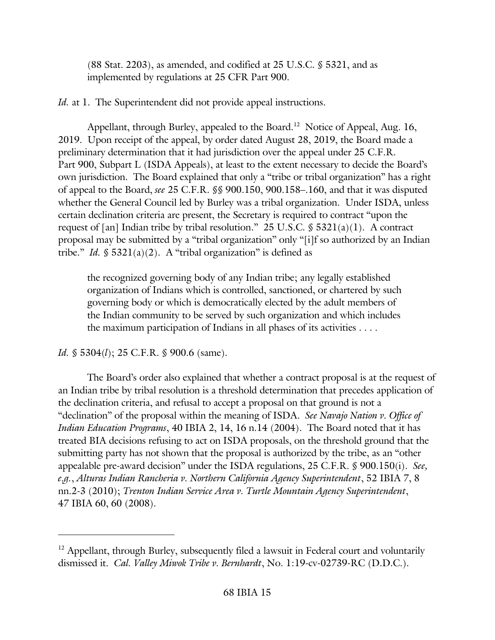(88 Stat. 2203), as amended, and codified at 25 U.S.C. § 5321, and as implemented by regulations at 25 CFR Part 900.

*Id.* at 1. The Superintendent did not provide appeal instructions.

Appellant, through Burley, appealed to the Board.<sup>12</sup> Notice of Appeal, Aug. 16, 2019. Upon receipt of the appeal, by order dated August 28, 2019, the Board made a preliminary determination that it had jurisdiction over the appeal under 25 C.F.R. Part 900, Subpart L (ISDA Appeals), at least to the extent necessary to decide the Board's own jurisdiction. The Board explained that only a "tribe or tribal organization" has a right of appeal to the Board, *see* 25 C.F.R. §§ 900.150, 900.158–.160, and that it was disputed whether the General Council led by Burley was a tribal organization. Under ISDA, unless certain declination criteria are present, the Secretary is required to contract "upon the request of [an] Indian tribe by tribal resolution." 25 U.S.C.  $\$ 5321(a)(1)$ . A contract proposal may be submitted by a "tribal organization" only "[i]f so authorized by an Indian tribe." *Id.*  $\$ 5321(a)(2)$ . A "tribal organization" is defined as

the recognized governing body of any Indian tribe; any legally established organization of Indians which is controlled, sanctioned, or chartered by such governing body or which is democratically elected by the adult members of the Indian community to be served by such organization and which includes the maximum participation of Indians in all phases of its activities . . . .

*Id.* § 5304(*l*); 25 C.F.R. § 900.6 (same).

The Board's order also explained that whether a contract proposal is at the request of an Indian tribe by tribal resolution is a threshold determination that precedes application of the declination criteria, and refusal to accept a proposal on that ground is not a "declination" of the proposal within the meaning of ISDA. *See Navajo Nation v. Office of Indian Education Programs*, 40 IBIA 2, 14, 16 n.14 (2004). The Board noted that it has treated BIA decisions refusing to act on ISDA proposals, on the threshold ground that the submitting party has not shown that the proposal is authorized by the tribe, as an "other appealable pre-award decision" under the ISDA regulations, 25 C.F.R. § 900.150(i). *See, e.g.*, *Alturas Indian Rancheria v. Northern California Agency Superintendent*, 52 IBIA 7, 8 nn.2-3 (2010); *Trenton Indian Service Area v. Turtle Mountain Agency Superintendent*, 47 IBIA 60, 60 (2008).

<sup>&</sup>lt;sup>12</sup> Appellant, through Burley, subsequently filed a lawsuit in Federal court and voluntarily dismissed it. *Cal. Valley Miwok Tribe v. Bernhardt*, No. 1:19-cv-02739-RC (D.D.C.).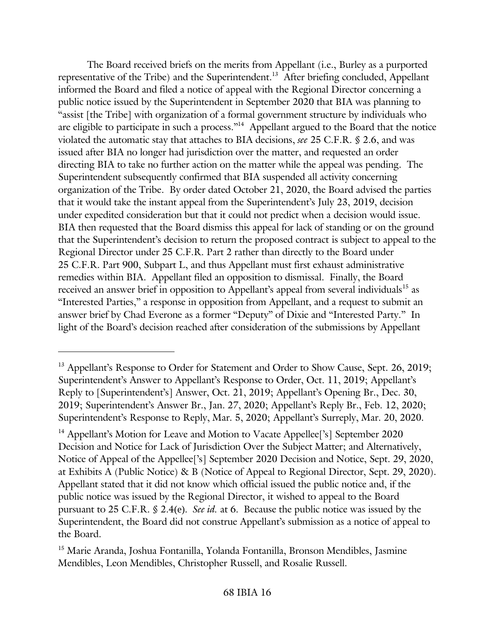The Board received briefs on the merits from Appellant (i.e., Burley as a purported representative of the Tribe) and the Superintendent.<sup>13</sup> After briefing concluded, Appellant informed the Board and filed a notice of appeal with the Regional Director concerning a public notice issued by the Superintendent in September 2020 that BIA was planning to "assist [the Tribe] with organization of a formal government structure by individuals who are eligible to participate in such a process."<sup>14</sup> Appellant argued to the Board that the notice violated the automatic stay that attaches to BIA decisions, *see* 25 C.F.R. § 2.6, and was issued after BIA no longer had jurisdiction over the matter, and requested an order directing BIA to take no further action on the matter while the appeal was pending. The Superintendent subsequently confirmed that BIA suspended all activity concerning organization of the Tribe. By order dated October 21, 2020, the Board advised the parties that it would take the instant appeal from the Superintendent's July 23, 2019, decision under expedited consideration but that it could not predict when a decision would issue. BIA then requested that the Board dismiss this appeal for lack of standing or on the ground that the Superintendent's decision to return the proposed contract is subject to appeal to the Regional Director under 25 C.F.R. Part 2 rather than directly to the Board under 25 C.F.R. Part 900, Subpart L, and thus Appellant must first exhaust administrative remedies within BIA. Appellant filed an opposition to dismissal. Finally, the Board received an answer brief in opposition to Appellant's appeal from several individuals<sup>15</sup> as "Interested Parties," a response in opposition from Appellant, and a request to submit an answer brief by Chad Everone as a former "Deputy" of Dixie and "Interested Party." In light of the Board's decision reached after consideration of the submissions by Appellant

<sup>&</sup>lt;sup>13</sup> Appellant's Response to Order for Statement and Order to Show Cause, Sept. 26, 2019; Superintendent's Answer to Appellant's Response to Order, Oct. 11, 2019; Appellant's Reply to [Superintendent's] Answer, Oct. 21, 2019; Appellant's Opening Br., Dec. 30, 2019; Superintendent's Answer Br., Jan. 27, 2020; Appellant's Reply Br., Feb. 12, 2020; Superintendent's Response to Reply, Mar. 5, 2020; Appellant's Surreply, Mar. 20, 2020.

<sup>&</sup>lt;sup>14</sup> Appellant's Motion for Leave and Motion to Vacate Appellee<sup>['s</sup>] September 2020 Decision and Notice for Lack of Jurisdiction Over the Subject Matter; and Alternatively, Notice of Appeal of the Appellee['s] September 2020 Decision and Notice, Sept. 29, 2020, at Exhibits A (Public Notice) & B (Notice of Appeal to Regional Director, Sept. 29, 2020). Appellant stated that it did not know which official issued the public notice and, if the public notice was issued by the Regional Director, it wished to appeal to the Board pursuant to 25 C.F.R. § 2.4(e). *See id.* at 6. Because the public notice was issued by the Superintendent, the Board did not construe Appellant's submission as a notice of appeal to the Board.

<sup>&</sup>lt;sup>15</sup> Marie Aranda, Joshua Fontanilla, Yolanda Fontanilla, Bronson Mendibles, Jasmine Mendibles, Leon Mendibles, Christopher Russell, and Rosalie Russell.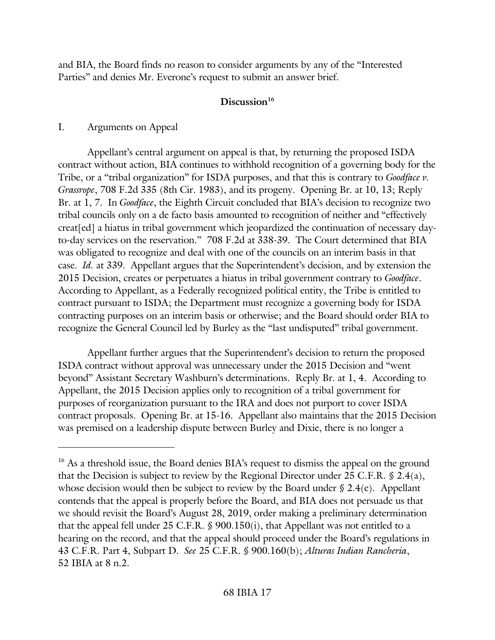and BIA, the Board finds no reason to consider arguments by any of the "Interested Parties" and denies Mr. Everone's request to submit an answer brief.

# **Discussion<sup>16</sup>**

## I. Arguments on Appeal

Appellant's central argument on appeal is that, by returning the proposed ISDA contract without action, BIA continues to withhold recognition of a governing body for the Tribe, or a "tribal organization" for ISDA purposes, and that this is contrary to *Goodface v. Grassrope*, 708 F.2d 335 (8th Cir. 1983), and its progeny. Opening Br. at 10, 13; Reply Br. at 1, 7. In *Goodface*, the Eighth Circuit concluded that BIA's decision to recognize two tribal councils only on a de facto basis amounted to recognition of neither and "effectively creat[ed] a hiatus in tribal government which jeopardized the continuation of necessary dayto-day services on the reservation." 708 F.2d at 338-39. The Court determined that BIA was obligated to recognize and deal with one of the councils on an interim basis in that case. *Id.* at 339. Appellant argues that the Superintendent's decision, and by extension the 2015 Decision, creates or perpetuates a hiatus in tribal government contrary to *Goodface*. According to Appellant, as a Federally recognized political entity, the Tribe is entitled to contract pursuant to ISDA; the Department must recognize a governing body for ISDA contracting purposes on an interim basis or otherwise; and the Board should order BIA to recognize the General Council led by Burley as the "last undisputed" tribal government.

Appellant further argues that the Superintendent's decision to return the proposed ISDA contract without approval was unnecessary under the 2015 Decision and "went beyond" Assistant Secretary Washburn's determinations. Reply Br. at 1, 4. According to Appellant, the 2015 Decision applies only to recognition of a tribal government for purposes of reorganization pursuant to the IRA and does not purport to cover ISDA contract proposals. Opening Br. at 15-16. Appellant also maintains that the 2015 Decision was premised on a leadership dispute between Burley and Dixie, there is no longer a

<sup>&</sup>lt;sup>16</sup> As a threshold issue, the Board denies BIA's request to dismiss the appeal on the ground that the Decision is subject to review by the Regional Director under 25 C.F.R. § 2.4(a), whose decision would then be subject to review by the Board under § 2.4(e). Appellant contends that the appeal is properly before the Board, and BIA does not persuade us that we should revisit the Board's August 28, 2019, order making a preliminary determination that the appeal fell under 25 C.F.R. § 900.150(i), that Appellant was not entitled to a hearing on the record, and that the appeal should proceed under the Board's regulations in 43 C.F.R. Part 4, Subpart D. *See* 25 C.F.R. § 900.160(b); *Alturas Indian Rancheria*, 52 IBIA at 8 n.2.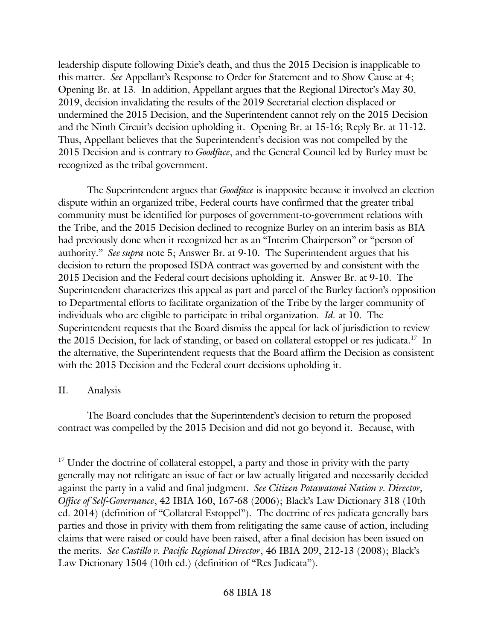leadership dispute following Dixie's death, and thus the 2015 Decision is inapplicable to this matter. *See* Appellant's Response to Order for Statement and to Show Cause at 4; Opening Br. at 13. In addition, Appellant argues that the Regional Director's May 30, 2019, decision invalidating the results of the 2019 Secretarial election displaced or undermined the 2015 Decision, and the Superintendent cannot rely on the 2015 Decision and the Ninth Circuit's decision upholding it. Opening Br. at 15-16; Reply Br. at 11-12. Thus, Appellant believes that the Superintendent's decision was not compelled by the 2015 Decision and is contrary to *Goodface*, and the General Council led by Burley must be recognized as the tribal government.

The Superintendent argues that *Goodface* is inapposite because it involved an election dispute within an organized tribe, Federal courts have confirmed that the greater tribal community must be identified for purposes of government-to-government relations with the Tribe, and the 2015 Decision declined to recognize Burley on an interim basis as BIA had previously done when it recognized her as an "Interim Chairperson" or "person of authority." *See supra* note 5; Answer Br. at 9-10. The Superintendent argues that his decision to return the proposed ISDA contract was governed by and consistent with the 2015 Decision and the Federal court decisions upholding it. Answer Br. at 9-10. The Superintendent characterizes this appeal as part and parcel of the Burley faction's opposition to Departmental efforts to facilitate organization of the Tribe by the larger community of individuals who are eligible to participate in tribal organization. *Id.* at 10. The Superintendent requests that the Board dismiss the appeal for lack of jurisdiction to review the 2015 Decision, for lack of standing, or based on collateral estoppel or res judicata.<sup>17</sup> In the alternative, the Superintendent requests that the Board affirm the Decision as consistent with the 2015 Decision and the Federal court decisions upholding it.

## II. Analysis

The Board concludes that the Superintendent's decision to return the proposed contract was compelled by the 2015 Decision and did not go beyond it. Because, with

<sup>&</sup>lt;sup>17</sup> Under the doctrine of collateral estoppel, a party and those in privity with the party generally may not relitigate an issue of fact or law actually litigated and necessarily decided against the party in a valid and final judgment. *See Citizen Potawatomi Nation v. Director, Office of Self-Governance*, 42 IBIA 160, 167-68 (2006); Black's Law Dictionary 318 (10th ed. 2014) (definition of "Collateral Estoppel"). The doctrine of res judicata generally bars parties and those in privity with them from relitigating the same cause of action, including claims that were raised or could have been raised, after a final decision has been issued on the merits. *See Castillo v. Pacific Regional Director*, 46 IBIA 209, 212-13 (2008); Black's Law Dictionary 1504 (10th ed.) (definition of "Res Judicata").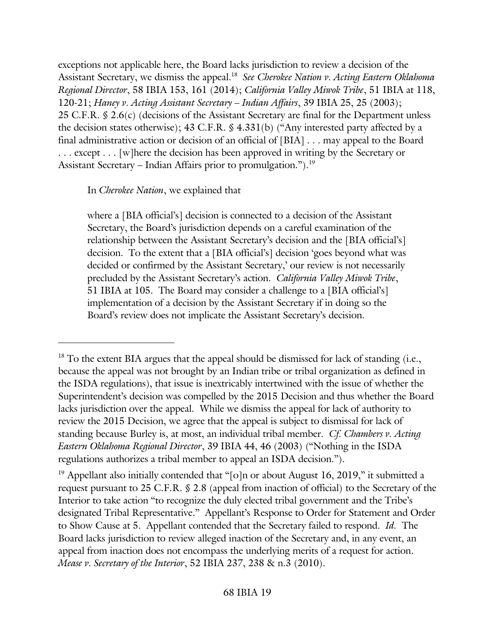exceptions not applicable here, the Board lacks jurisdiction to review a decision of the Assistant Secretary, we dismiss the appeal.<sup>18</sup> See Cherokee Nation v. Acting Eastern Oklahoma *Regional Director*, 58 IBIA 153, 161 (2014); *California Valley Miwok Tribe*, 51 IBIA at 118, 120-21; *Haney v. Acting Assistant Secretary – Indian Affairs*, 39 IBIA 25, 25 (2003); 25 C.F.R. § 2.6(c) (decisions of the Assistant Secretary are final for the Department unless the decision states otherwise); 43 C.F.R. § 4.331(b) ("Any interested party affected by a final administrative action or decision of an official of [BIA] . . . may appeal to the Board . . . except . . . [w]here the decision has been approved in writing by the Secretary or Assistant Secretary – Indian Affairs prior to promulgation.").<sup>19</sup>

### In *Cherokee Nation*, we explained that

where a [BIA official's] decision is connected to a decision of the Assistant Secretary, the Board's jurisdiction depends on a careful examination of the relationship between the Assistant Secretary's decision and the [BIA official's] decision. To the extent that a [BIA official's] decision 'goes beyond what was decided or confirmed by the Assistant Secretary,' our review is not necessarily precluded by the Assistant Secretary's action. *California Valley Miwok Tribe*, 51 IBIA at 105. The Board may consider a challenge to a [BIA official's] implementation of a decision by the Assistant Secretary if in doing so the Board's review does not implicate the Assistant Secretary's decision.

 $18$  To the extent BIA argues that the appeal should be dismissed for lack of standing (i.e., because the appeal was not brought by an Indian tribe or tribal organization as defined in the ISDA regulations), that issue is inextricably intertwined with the issue of whether the Superintendent's decision was compelled by the 2015 Decision and thus whether the Board lacks jurisdiction over the appeal. While we dismiss the appeal for lack of authority to review the 2015 Decision, we agree that the appeal is subject to dismissal for lack of standing because Burley is, at most, an individual tribal member. *Cf. Chambers v. Acting Eastern Oklahoma Regional Director*, 39 IBIA 44, 46 (2003) ("Nothing in the ISDA regulations authorizes a tribal member to appeal an ISDA decision.").

<sup>&</sup>lt;sup>19</sup> Appellant also initially contended that "[o]n or about August 16, 2019," it submitted a request pursuant to 25 C.F.R. § 2.8 (appeal from inaction of official) to the Secretary of the Interior to take action "to recognize the duly elected tribal government and the Tribe's designated Tribal Representative." Appellant's Response to Order for Statement and Order to Show Cause at 5. Appellant contended that the Secretary failed to respond. *Id.* The Board lacks jurisdiction to review alleged inaction of the Secretary and, in any event, an appeal from inaction does not encompass the underlying merits of a request for action. *Mease v. Secretary of the Interior*, 52 IBIA 237, 238 & n.3 (2010).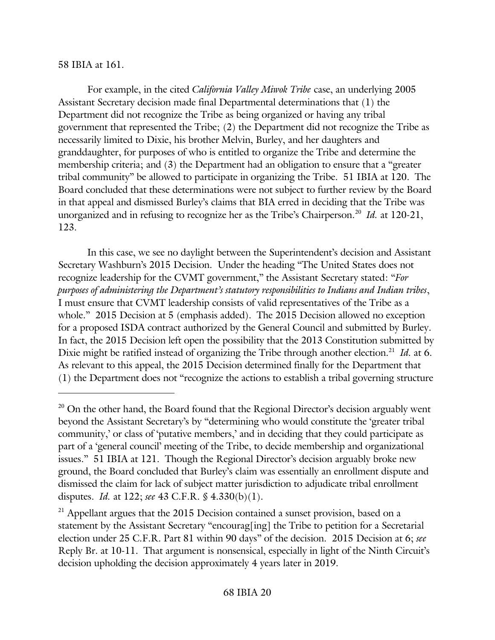#### 58 IBIA at 161.

For example, in the cited *California Valley Miwok Tribe* case, an underlying 2005 Assistant Secretary decision made final Departmental determinations that (1) the Department did not recognize the Tribe as being organized or having any tribal government that represented the Tribe; (2) the Department did not recognize the Tribe as necessarily limited to Dixie, his brother Melvin, Burley, and her daughters and granddaughter, for purposes of who is entitled to organize the Tribe and determine the membership criteria; and (3) the Department had an obligation to ensure that a "greater tribal community" be allowed to participate in organizing the Tribe. 51 IBIA at 120. The Board concluded that these determinations were not subject to further review by the Board in that appeal and dismissed Burley's claims that BIA erred in deciding that the Tribe was unorganized and in refusing to recognize her as the Tribe's Chairperson.<sup>20</sup> Id. at 120-21, 123.

In this case, we see no daylight between the Superintendent's decision and Assistant Secretary Washburn's 2015 Decision. Under the heading "The United States does not recognize leadership for the CVMT government," the Assistant Secretary stated: "*For purposes of administering the Department's statutory responsibilities to Indians and Indian tribes*, I must ensure that CVMT leadership consists of valid representatives of the Tribe as a whole." 2015 Decision at 5 (emphasis added). The 2015 Decision allowed no exception for a proposed ISDA contract authorized by the General Council and submitted by Burley. In fact, the 2015 Decision left open the possibility that the 2013 Constitution submitted by Dixie might be ratified instead of organizing the Tribe through another election.<sup>21</sup> *Id.* at 6. As relevant to this appeal, the 2015 Decision determined finally for the Department that (1) the Department does not "recognize the actions to establish a tribal governing structure

 $20$  On the other hand, the Board found that the Regional Director's decision arguably went beyond the Assistant Secretary's by "determining who would constitute the 'greater tribal community,' or class of 'putative members,' and in deciding that they could participate as part of a 'general council' meeting of the Tribe, to decide membership and organizational issues." 51 IBIA at 121. Though the Regional Director's decision arguably broke new ground, the Board concluded that Burley's claim was essentially an enrollment dispute and dismissed the claim for lack of subject matter jurisdiction to adjudicate tribal enrollment disputes. *Id.* at 122; *see* 43 C.F.R. § 4.330(b)(1).

<sup>&</sup>lt;sup>21</sup> Appellant argues that the 2015 Decision contained a sunset provision, based on a statement by the Assistant Secretary "encourag[ing] the Tribe to petition for a Secretarial election under 25 C.F.R. Part 81 within 90 days" of the decision. 2015 Decision at 6; *see*  Reply Br. at 10-11. That argument is nonsensical, especially in light of the Ninth Circuit's decision upholding the decision approximately 4 years later in 2019.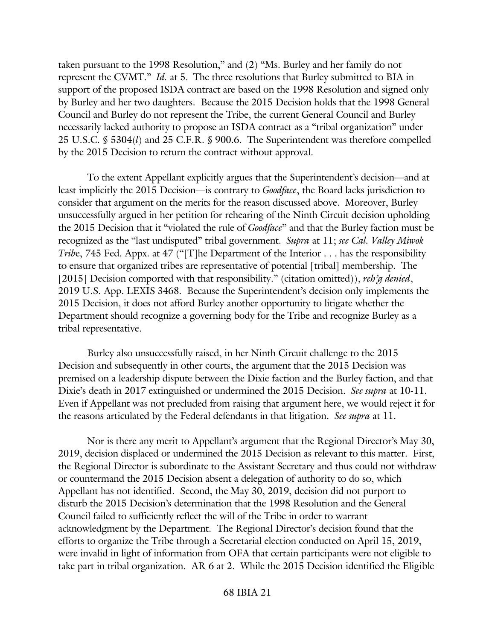taken pursuant to the 1998 Resolution," and (2) "Ms. Burley and her family do not represent the CVMT." *Id.* at 5. The three resolutions that Burley submitted to BIA in support of the proposed ISDA contract are based on the 1998 Resolution and signed only by Burley and her two daughters. Because the 2015 Decision holds that the 1998 General Council and Burley do not represent the Tribe, the current General Council and Burley necessarily lacked authority to propose an ISDA contract as a "tribal organization" under 25 U.S.C. § 5304(*l*) and 25 C.F.R. § 900.6. The Superintendent was therefore compelled by the 2015 Decision to return the contract without approval.

To the extent Appellant explicitly argues that the Superintendent's decision—and at least implicitly the 2015 Decision—is contrary to *Goodface*, the Board lacks jurisdiction to consider that argument on the merits for the reason discussed above. Moreover, Burley unsuccessfully argued in her petition for rehearing of the Ninth Circuit decision upholding the 2015 Decision that it "violated the rule of *Goodface*" and that the Burley faction must be recognized as the "last undisputed" tribal government. *Supra* at 11; *see Cal. Valley Miwok Tribe*, 745 Fed. Appx. at 47 ("[T]he Department of the Interior . . . has the responsibility to ensure that organized tribes are representative of potential [tribal] membership. The [2015] Decision comported with that responsibility." (citation omitted)), *reh'g denied*, 2019 U.S. App. LEXIS 3468. Because the Superintendent's decision only implements the 2015 Decision, it does not afford Burley another opportunity to litigate whether the Department should recognize a governing body for the Tribe and recognize Burley as a tribal representative.

Burley also unsuccessfully raised, in her Ninth Circuit challenge to the 2015 Decision and subsequently in other courts, the argument that the 2015 Decision was premised on a leadership dispute between the Dixie faction and the Burley faction, and that Dixie's death in 2017 extinguished or undermined the 2015 Decision. *See supra* at 10-11. Even if Appellant was not precluded from raising that argument here, we would reject it for the reasons articulated by the Federal defendants in that litigation. *See supra* at 11.

Nor is there any merit to Appellant's argument that the Regional Director's May 30, 2019, decision displaced or undermined the 2015 Decision as relevant to this matter. First, the Regional Director is subordinate to the Assistant Secretary and thus could not withdraw or countermand the 2015 Decision absent a delegation of authority to do so, which Appellant has not identified. Second, the May 30, 2019, decision did not purport to disturb the 2015 Decision's determination that the 1998 Resolution and the General Council failed to sufficiently reflect the will of the Tribe in order to warrant acknowledgment by the Department. The Regional Director's decision found that the efforts to organize the Tribe through a Secretarial election conducted on April 15, 2019, were invalid in light of information from OFA that certain participants were not eligible to take part in tribal organization. AR 6 at 2. While the 2015 Decision identified the Eligible